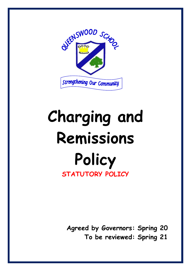

# **Charging and Remissions Policy STATUTORY POLICY**

**Agreed by Governors: Spring 20 To be reviewed: Spring 21**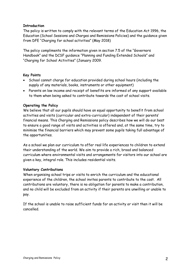# **Introduction**

The policy is written to comply with the relevant terms of the Education Act 1996, the Education (School Sessions and Charges and Remissions Policies) and the guidance given from DFE "Charging for school activities" (May 2018)

The policy compliments the information given in section 7.5 of the "Governors Handbook" and the DCSF guidance "Planning and Funding Extended Schools" and "Charging for School Activities" (January 2009.

# **Key Points**

- School cannot charge for education provided during school hours (including the supply of any materials, books, instruments or other equipment)
- Parents on low income and receipt of benefits are informed of any support available to them when being asked to contribute towards the cost of school visits.

# **Operating the Policy**

We believe that all our pupils should have an equal opportunity to benefit from school activities and visits (curricular and extra-curricular) independent of their parents' financial means. This Charging and Remissions policy describes how we will do our best to ensure a good range of visits and activities is offered and, at the same time, try to minimise the financial barriers which may prevent some pupils taking full advantage of the opportunities.

As a school we plan our curriculum to offer real life experiences to children to extend their understanding of the world. We aim to provide a rich, broad and balanced curriculum where environmental visits and arrangements for visitors into our school are given a key, integral role. This includes residential visits.

## **Voluntary Contributions**

When organising school trips or visits to enrich the curriculum and the educational experience of the children, the school invites parents to contribute to the cost. All contributions are voluntary, there is no obligation for parents to make a contribution, and no child will be excluded from an activity if their parents are unwilling or unable to pay.

If the school is unable to raise sufficient funds for an activity or visit then it will be cancelled.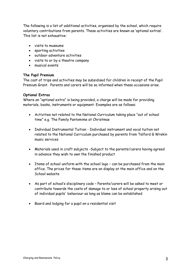The following is a list of additional activities, organised by the school, which require voluntary contributions from parents. These activities are known as 'optional extras'. This list is not exhaustive:

- visits to museums
- sporting activities
- outdoor adventure activities
- visits to or by a theatre company
- musical events

#### **The Pupil Premium**

The cost of trips and activities may be subsidised for children in receipt of the Pupil Premium Grant. Parents and carers will be so informed when these occasions arise.

## **Optional Extras**

Where an "optional extra" is being provided, a charge will be made for providing materials, books, instruments or equipment. Examples are as follows:

- Activities not related to the National Curriculum taking place "out of school time" e.g. The Family Pantomime at Christmas
- Individual Instrumental Tuition Individual instrument and vocal tuition not related to the National Curriculum purchased by parents from Telford & Wrekin music services
- Materials used in craft subjects -Subject to the parents/carers having agreed in advance they wish to own the finished product
- Items of school uniform with the school logo can be purchased from the main office. The prices for these items are on display at the main office and on the School website
- As part of school's disciplinary code Parents/carers will be asked to meet or contribute towards the costs of damage to or loss of school property arising out of individual pupils' behaviour as long as blame can be established
- Board and lodging for a pupil on a residential visit